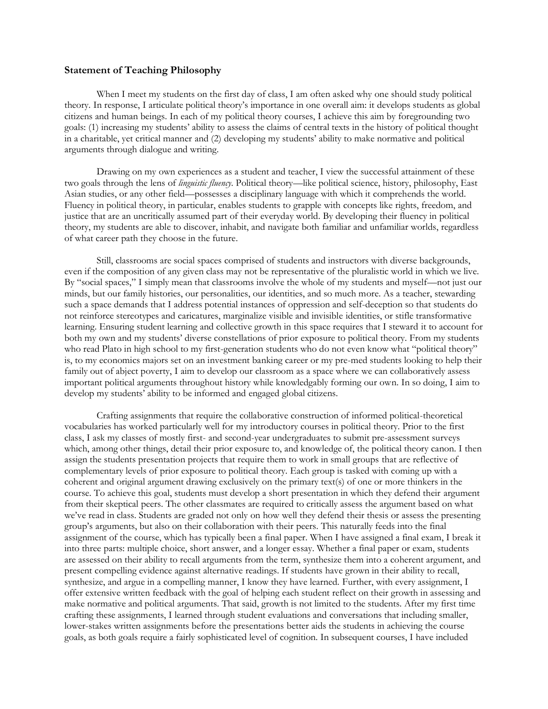## **Statement of Teaching Philosophy**

When I meet my students on the first day of class, I am often asked why one should study political theory. In response, I articulate political theory's importance in one overall aim: it develops students as global citizens and human beings. In each of my political theory courses, I achieve this aim by foregrounding two goals: (1) increasing my students' ability to assess the claims of central texts in the history of political thought in a charitable, yet critical manner and (2) developing my students' ability to make normative and political arguments through dialogue and writing.

Drawing on my own experiences as a student and teacher, I view the successful attainment of these two goals through the lens of *linguistic fluency*. Political theory—like political science, history, philosophy, East Asian studies, or any other field—possesses a disciplinary language with which it comprehends the world. Fluency in political theory, in particular, enables students to grapple with concepts like rights, freedom, and justice that are an uncritically assumed part of their everyday world. By developing their fluency in political theory, my students are able to discover, inhabit, and navigate both familiar and unfamiliar worlds, regardless of what career path they choose in the future.

Still, classrooms are social spaces comprised of students and instructors with diverse backgrounds, even if the composition of any given class may not be representative of the pluralistic world in which we live. By "social spaces," I simply mean that classrooms involve the whole of my students and myself—not just our minds, but our family histories, our personalities, our identities, and so much more. As a teacher, stewarding such a space demands that I address potential instances of oppression and self-deception so that students do not reinforce stereotypes and caricatures, marginalize visible and invisible identities, or stifle transformative learning. Ensuring student learning and collective growth in this space requires that I steward it to account for both my own and my students' diverse constellations of prior exposure to political theory. From my students who read Plato in high school to my first-generation students who do not even know what "political theory" is, to my economics majors set on an investment banking career or my pre-med students looking to help their family out of abject poverty, I aim to develop our classroom as a space where we can collaboratively assess important political arguments throughout history while knowledgably forming our own. In so doing, I aim to develop my students' ability to be informed and engaged global citizens.

Crafting assignments that require the collaborative construction of informed political-theoretical vocabularies has worked particularly well for my introductory courses in political theory. Prior to the first class, I ask my classes of mostly first- and second-year undergraduates to submit pre-assessment surveys which, among other things, detail their prior exposure to, and knowledge of, the political theory canon. I then assign the students presentation projects that require them to work in small groups that are reflective of complementary levels of prior exposure to political theory. Each group is tasked with coming up with a coherent and original argument drawing exclusively on the primary text(s) of one or more thinkers in the course. To achieve this goal, students must develop a short presentation in which they defend their argument from their skeptical peers. The other classmates are required to critically assess the argument based on what we've read in class. Students are graded not only on how well they defend their thesis or assess the presenting group's arguments, but also on their collaboration with their peers. This naturally feeds into the final assignment of the course, which has typically been a final paper. When I have assigned a final exam, I break it into three parts: multiple choice, short answer, and a longer essay. Whether a final paper or exam, students are assessed on their ability to recall arguments from the term, synthesize them into a coherent argument, and present compelling evidence against alternative readings. If students have grown in their ability to recall, synthesize, and argue in a compelling manner, I know they have learned. Further, with every assignment, I offer extensive written feedback with the goal of helping each student reflect on their growth in assessing and make normative and political arguments. That said, growth is not limited to the students. After my first time crafting these assignments, I learned through student evaluations and conversations that including smaller, lower-stakes written assignments before the presentations better aids the students in achieving the course goals, as both goals require a fairly sophisticated level of cognition. In subsequent courses, I have included